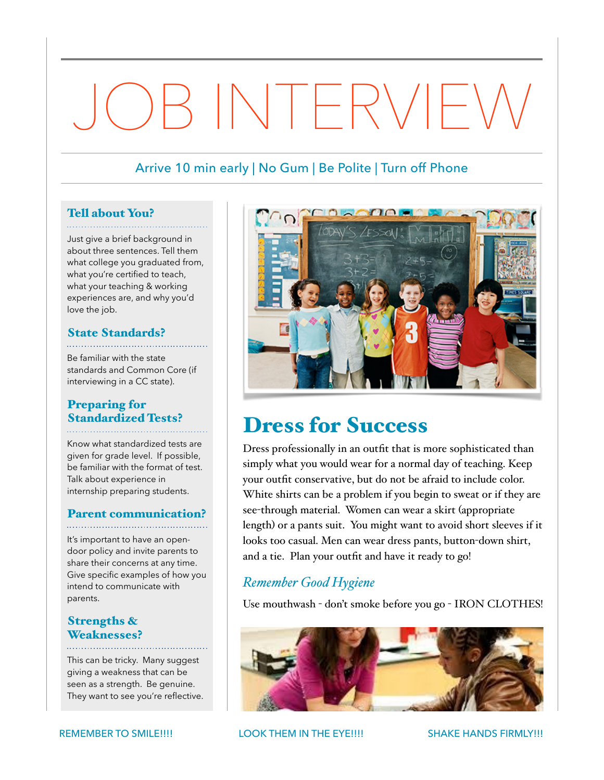# JOB INTERVIEW

## Arrive 10 min early | No Gum | Be Polite | Turn off Phone

#### Tell about You?

Just give a brief background in about three sentences. Tell them what college you graduated from, what you're certified to teach, what your teaching & working experiences are, and why you'd love the job.

#### State Standards?

Be familiar with the state standards and Common Core (if interviewing in a CC state).

## Preparing for Standardized Tests?

Know what standardized tests are given for grade level. If possible, be familiar with the format of test. Talk about experience in internship preparing students.

## Parent communication?

It's important to have an opendoor policy and invite parents to share their concerns at any time. Give specific examples of how you intend to communicate with parents.

## Strengths & Weaknesses?

This can be tricky. Many suggest giving a weakness that can be seen as a strength. Be genuine. They want to see you're reflective.



## Dress for Success

Dress professionally in an outfit that is more sophisticated than simply what you would wear for a normal day of teaching. Keep your outfit conservative, but do not be afraid to include color. White shirts can be a problem if you begin to sweat or if they are see-through material. Women can wear a skirt (appropriate length) or a pants suit. You might want to avoid short sleeves if it looks too casual. Men can wear dress pants, button-down shirt, and a tie. Plan your outfit and have it ready to go!

## *Remember Good Hygiene*

Use mouthwash - don't smoke before you go - IRON CLOTHES!



REMEMBER TO SMILE!!!! LOOK THEM IN THE EYE!!!! SHAKE HANDS FIRMLY!!!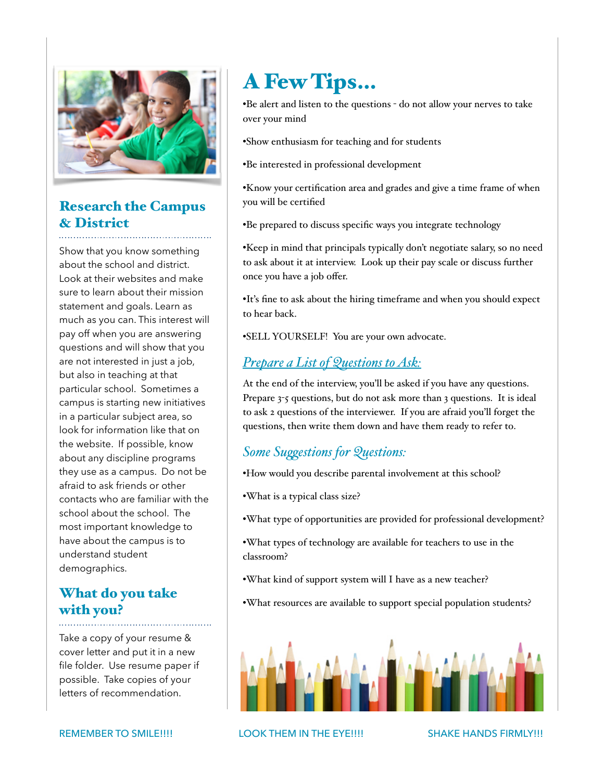

## Research the Campus & District

Show that you know something about the school and district. Look at their websites and make sure to learn about their mission statement and goals. Learn as much as you can. This interest will pay off when you are answering questions and will show that you are not interested in just a job, but also in teaching at that particular school. Sometimes a campus is starting new initiatives in a particular subject area, so look for information like that on the website. If possible, know about any discipline programs they use as a campus. Do not be afraid to ask friends or other contacts who are familiar with the school about the school. The most important knowledge to have about the campus is to understand student demographics.

## What do you take with you?

Take a copy of your resume & cover letter and put it in a new file folder. Use resume paper if possible. Take copies of your letters of recommendation.

# A Few Tips…

•Be alert and listen to the questions - do not allow your nerves to take over your mind

- •Show enthusiasm for teaching and for students
- •Be interested in professional development

•Know your certification area and grades and give a time frame of when you will be certified

•Be prepared to discuss specific ways you integrate technology

•Keep in mind that principals typically don't negotiate salary, so no need to ask about it at interview. Look up their pay scale or discuss further once you have a job offer.

•It's fine to ask about the hiring timeframe and when you should expect to hear back.

•SELL YOURSELF! You are your own advocate.

## *Prepare a List of Questions to Ask:*

At the end of the interview, you'll be asked if you have any questions. Prepare 3-5 questions, but do not ask more than 3 questions. It is ideal to ask 2 questions of the interviewer. If you are afraid you'll forget the questions, then write them down and have them ready to refer to.

## *Some Sugestions for Questions:*

•How would you describe parental involvement at this school?

- •What is a typical class size?
- •What type of opportunities are provided for professional development?
- •What types of technology are available for teachers to use in the classroom?
- •What kind of support system will I have as a new teacher?
- •What resources are available to support special population students?



REMEMBER TO SMILE!!!! LOOK THEM IN THE EYE!!!! SHAKE HANDS FIRMLY!!!